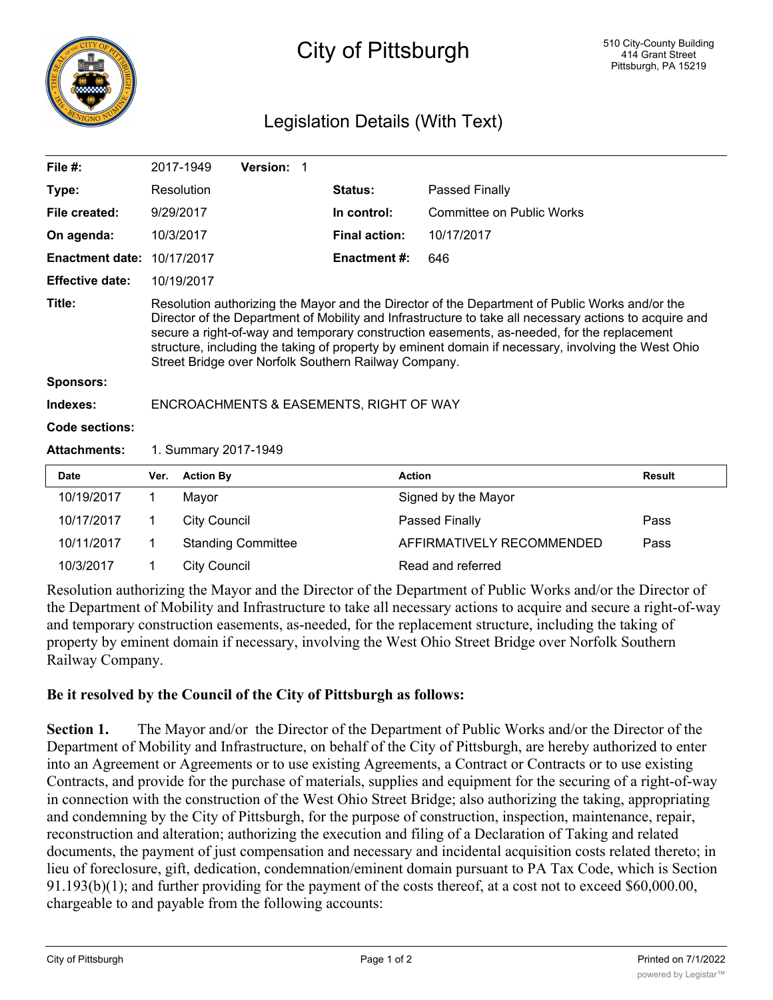

## City of Pittsburgh

## Legislation Details (With Text)

| File $#$ :             |                                                                                                                                                                                                                                                                                                                                                                                                                                                                       | 2017-1949           | Version: 1                |  |                      |                           |               |
|------------------------|-----------------------------------------------------------------------------------------------------------------------------------------------------------------------------------------------------------------------------------------------------------------------------------------------------------------------------------------------------------------------------------------------------------------------------------------------------------------------|---------------------|---------------------------|--|----------------------|---------------------------|---------------|
| Type:                  |                                                                                                                                                                                                                                                                                                                                                                                                                                                                       | Resolution          |                           |  | Status:              | <b>Passed Finally</b>     |               |
| File created:          | 9/29/2017                                                                                                                                                                                                                                                                                                                                                                                                                                                             |                     |                           |  | In control:          | Committee on Public Works |               |
| On agenda:             |                                                                                                                                                                                                                                                                                                                                                                                                                                                                       | 10/3/2017           |                           |  | <b>Final action:</b> | 10/17/2017                |               |
| <b>Enactment date:</b> |                                                                                                                                                                                                                                                                                                                                                                                                                                                                       | 10/17/2017          |                           |  | <b>Enactment #:</b>  | 646                       |               |
| <b>Effective date:</b> |                                                                                                                                                                                                                                                                                                                                                                                                                                                                       | 10/19/2017          |                           |  |                      |                           |               |
| Title:                 | Resolution authorizing the Mayor and the Director of the Department of Public Works and/or the<br>Director of the Department of Mobility and Infrastructure to take all necessary actions to acquire and<br>secure a right-of-way and temporary construction easements, as-needed, for the replacement<br>structure, including the taking of property by eminent domain if necessary, involving the West Ohio<br>Street Bridge over Norfolk Southern Railway Company. |                     |                           |  |                      |                           |               |
| <b>Sponsors:</b>       |                                                                                                                                                                                                                                                                                                                                                                                                                                                                       |                     |                           |  |                      |                           |               |
| Indexes:               | ENCROACHMENTS & EASEMENTS, RIGHT OF WAY                                                                                                                                                                                                                                                                                                                                                                                                                               |                     |                           |  |                      |                           |               |
| Code sections:         |                                                                                                                                                                                                                                                                                                                                                                                                                                                                       |                     |                           |  |                      |                           |               |
| <b>Attachments:</b>    | 1. Summary 2017-1949                                                                                                                                                                                                                                                                                                                                                                                                                                                  |                     |                           |  |                      |                           |               |
| <b>Date</b>            | Ver.                                                                                                                                                                                                                                                                                                                                                                                                                                                                  | <b>Action By</b>    |                           |  |                      | <b>Action</b>             | <b>Result</b> |
| 10/19/2017             | 1                                                                                                                                                                                                                                                                                                                                                                                                                                                                     | Mayor               |                           |  |                      | Signed by the Mayor       |               |
| 10/17/2017             | 1                                                                                                                                                                                                                                                                                                                                                                                                                                                                     | <b>City Council</b> |                           |  |                      | Passed Finally            | Pass          |
| 10/11/2017             | 1                                                                                                                                                                                                                                                                                                                                                                                                                                                                     |                     | <b>Standing Committee</b> |  |                      | AFFIRMATIVELY RECOMMENDED | Pass          |
| 10/3/2017              | 1                                                                                                                                                                                                                                                                                                                                                                                                                                                                     | <b>City Council</b> |                           |  |                      | Read and referred         |               |

Resolution authorizing the Mayor and the Director of the Department of Public Works and/or the Director of the Department of Mobility and Infrastructure to take all necessary actions to acquire and secure a right-of-way and temporary construction easements, as-needed, for the replacement structure, including the taking of property by eminent domain if necessary, involving the West Ohio Street Bridge over Norfolk Southern Railway Company.

## **Be it resolved by the Council of the City of Pittsburgh as follows:**

**Section 1.** The Mayor and/or the Director of the Department of Public Works and/or the Director of the Department of Mobility and Infrastructure, on behalf of the City of Pittsburgh, are hereby authorized to enter into an Agreement or Agreements or to use existing Agreements, a Contract or Contracts or to use existing Contracts, and provide for the purchase of materials, supplies and equipment for the securing of a right-of-way in connection with the construction of the West Ohio Street Bridge; also authorizing the taking, appropriating and condemning by the City of Pittsburgh, for the purpose of construction, inspection, maintenance, repair, reconstruction and alteration; authorizing the execution and filing of a Declaration of Taking and related documents, the payment of just compensation and necessary and incidental acquisition costs related thereto; in lieu of foreclosure, gift, dedication, condemnation/eminent domain pursuant to PA Tax Code, which is Section 91.193(b)(1); and further providing for the payment of the costs thereof, at a cost not to exceed \$60,000.00, chargeable to and payable from the following accounts: